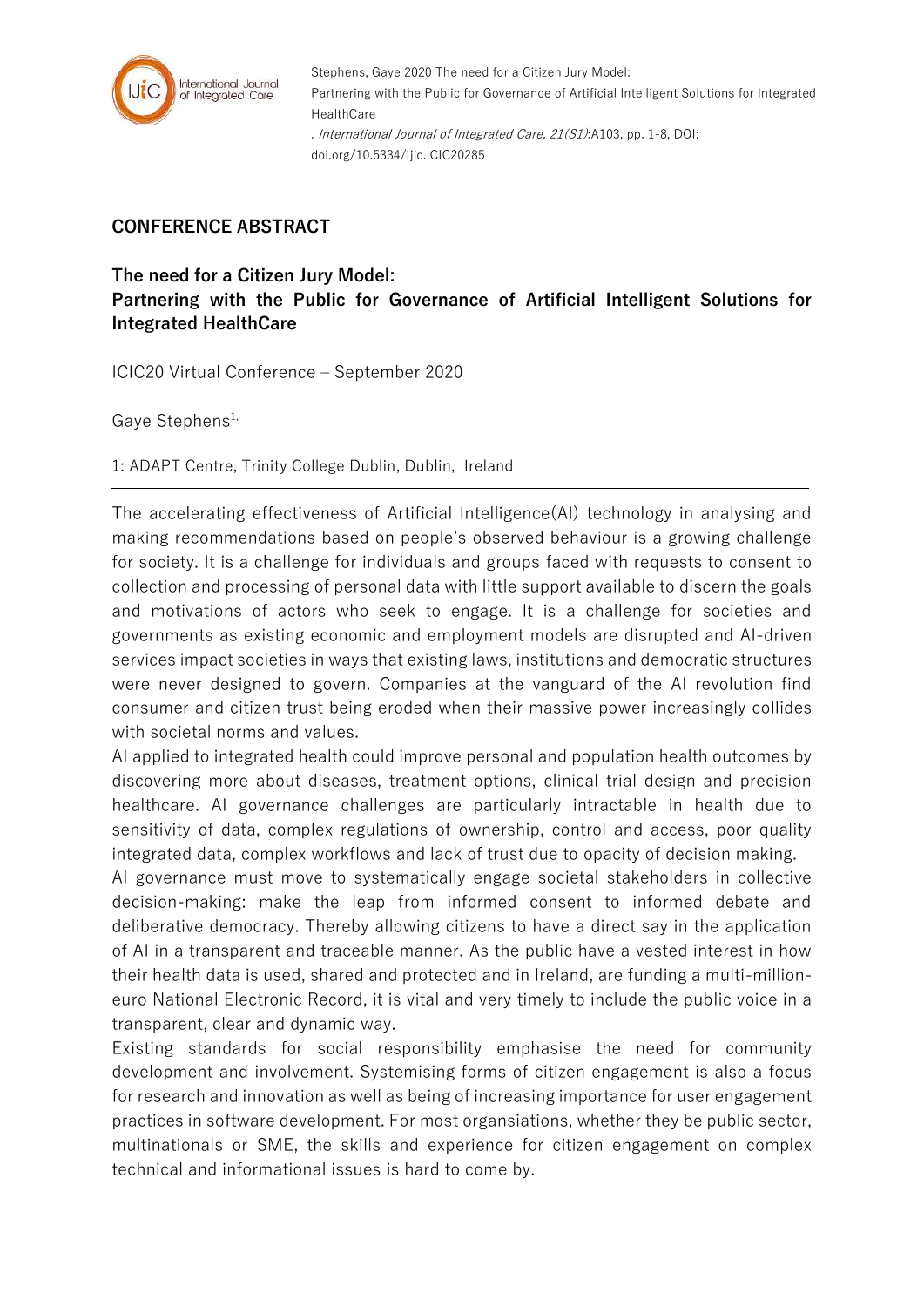

Stephens, Gaye 2020 The need for a Citizen Jury Model: Partnering with the Public for Governance of Artificial Intelligent Solutions for Integrated **HealthCare** . International Journal of Integrated Care, 21(S1):A103, pp. 1-8, DOI: doi.org/10.5334/ijic.ICIC20285

## **CONFERENCE ABSTRACT**

**The need for a Citizen Jury Model: Partnering with the Public for Governance of Artificial Intelligent Solutions for Integrated HealthCare**

ICIC20 Virtual Conference – September 2020

Gave Stephens<sup>1,</sup>

1: ADAPT Centre, Trinity College Dublin, Dublin, Ireland

The accelerating effectiveness of Artificial Intelligence(AI) technology in analysing and making recommendations based on people's observed behaviour is a growing challenge for society. It is a challenge for individuals and groups faced with requests to consent to collection and processing of personal data with little support available to discern the goals and motivations of actors who seek to engage. It is a challenge for societies and governments as existing economic and employment models are disrupted and AI-driven services impact societies in ways that existing laws, institutions and democratic structures were never designed to govern. Companies at the vanguard of the AI revolution find consumer and citizen trust being eroded when their massive power increasingly collides with societal norms and values.

AI applied to integrated health could improve personal and population health outcomes by discovering more about diseases, treatment options, clinical trial design and precision healthcare. AI governance challenges are particularly intractable in health due to sensitivity of data, complex regulations of ownership, control and access, poor quality integrated data, complex workflows and lack of trust due to opacity of decision making.

AI governance must move to systematically engage societal stakeholders in collective decision-making: make the leap from informed consent to informed debate and deliberative democracy. Thereby allowing citizens to have a direct say in the application of AI in a transparent and traceable manner. As the public have a vested interest in how their health data is used, shared and protected and in Ireland, are funding a multi-millioneuro National Electronic Record, it is vital and very timely to include the public voice in a transparent, clear and dynamic way.

Existing standards for social responsibility emphasise the need for community development and involvement. Systemising forms of citizen engagement is also a focus for research and innovation as well as being of increasing importance for user engagement practices in software development. For most organsiations, whether they be public sector, multinationals or SME, the skills and experience for citizen engagement on complex technical and informational issues is hard to come by.